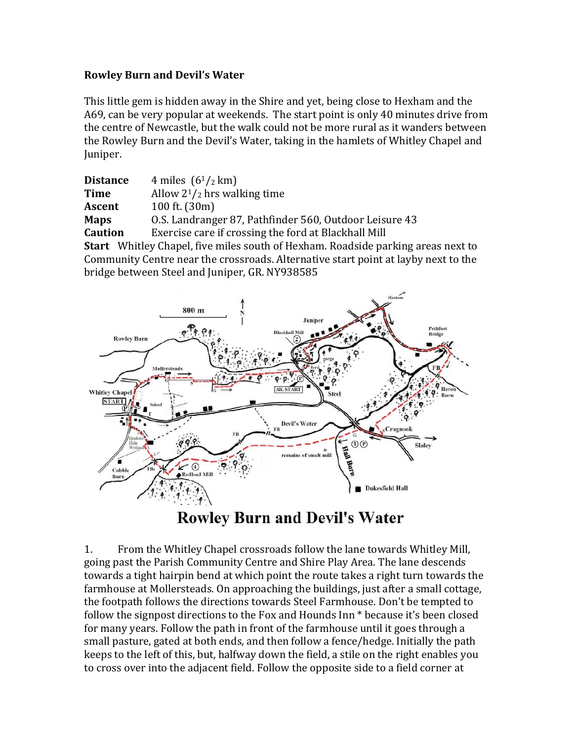# **Rowley Burn and Devil's Water**

This little gem is hidden away in the Shire and yet, being close to Hexham and the A69, can be very popular at weekends. The start point is only 40 minutes drive from the centre of Newcastle, but the walk could not be more rural as it wanders between the Rowley Burn and the Devil's Water, taking in the hamlets of Whitley Chapel and Juniper.

| <b>Distance</b> | 4 miles $(6^{1}/_{2}$ km)                                                               |
|-----------------|-----------------------------------------------------------------------------------------|
| <b>Time</b>     | Allow $2^{1/2}$ hrs walking time                                                        |
| Ascent          | 100 ft. (30m)                                                                           |
| <b>Maps</b>     | 0.S. Landranger 87, Pathfinder 560, Outdoor Leisure 43                                  |
| <b>Caution</b>  | Exercise care if crossing the ford at Blackhall Mill                                    |
|                 | <b>Start</b> Whitley Chapel, five miles south of Hexham. Roadside parking areas next to |

Community Centre near the crossroads. Alternative start point at layby next to the bridge between Steel and Juniper, GR. NY938585



**Rowley Burn and Devil's Water** 

1. From the Whitley Chapel crossroads follow the lane towards Whitley Mill, going past the Parish Community Centre and Shire Play Area. The lane descends towards a tight hairpin bend at which point the route takes a right turn towards the farmhouse at Mollersteads. On approaching the buildings, just after a small cottage, the footpath follows the directions towards Steel Farmhouse. Don't be tempted to follow the signpost directions to the Fox and Hounds Inn  $*$  because it's been closed for many years. Follow the path in front of the farmhouse until it goes through a small pasture, gated at both ends, and then follow a fence/hedge. Initially the path keeps to the left of this, but, halfway down the field, a stile on the right enables you to cross over into the adjacent field. Follow the opposite side to a field corner at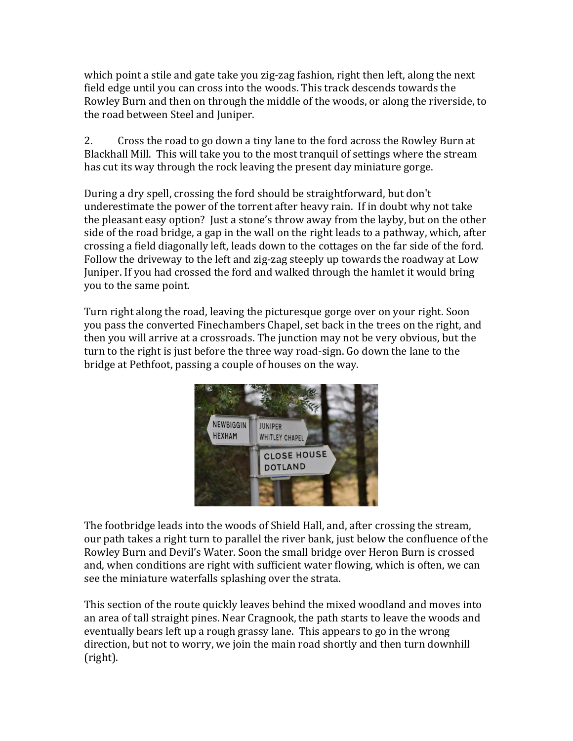which point a stile and gate take you zig-zag fashion, right then left, along the next field edge until you can cross into the woods. This track descends towards the Rowley Burn and then on through the middle of the woods, or along the riverside, to the road between Steel and Juniper.

2. Cross the road to go down a tiny lane to the ford across the Rowley Burn at Blackhall Mill. This will take you to the most tranquil of settings where the stream has cut its way through the rock leaving the present day miniature gorge.

During a dry spell, crossing the ford should be straightforward, but don't underestimate the power of the torrent after heavy rain. If in doubt why not take the pleasant easy option? Just a stone's throw away from the layby, but on the other side of the road bridge, a gap in the wall on the right leads to a pathway, which, after crossing a field diagonally left, leads down to the cottages on the far side of the ford. Follow the driveway to the left and zig-zag steeply up towards the roadway at Low Juniper. If you had crossed the ford and walked through the hamlet it would bring you to the same point.

Turn right along the road, leaving the picturesque gorge over on your right. Soon you pass the converted Finechambers Chapel, set back in the trees on the right, and then you will arrive at a crossroads. The junction may not be very obvious, but the turn to the right is just before the three way road-sign. Go down the lane to the bridge at Pethfoot, passing a couple of houses on the way.



The footbridge leads into the woods of Shield Hall, and, after crossing the stream, our path takes a right turn to parallel the river bank, just below the confluence of the Rowley Burn and Devil's Water. Soon the small bridge over Heron Burn is crossed and, when conditions are right with sufficient water flowing, which is often, we can see the miniature waterfalls splashing over the strata.

This section of the route quickly leaves behind the mixed woodland and moves into an area of tall straight pines. Near Cragnook, the path starts to leave the woods and eventually bears left up a rough grassy lane. This appears to go in the wrong direction, but not to worry, we join the main road shortly and then turn downhill (right).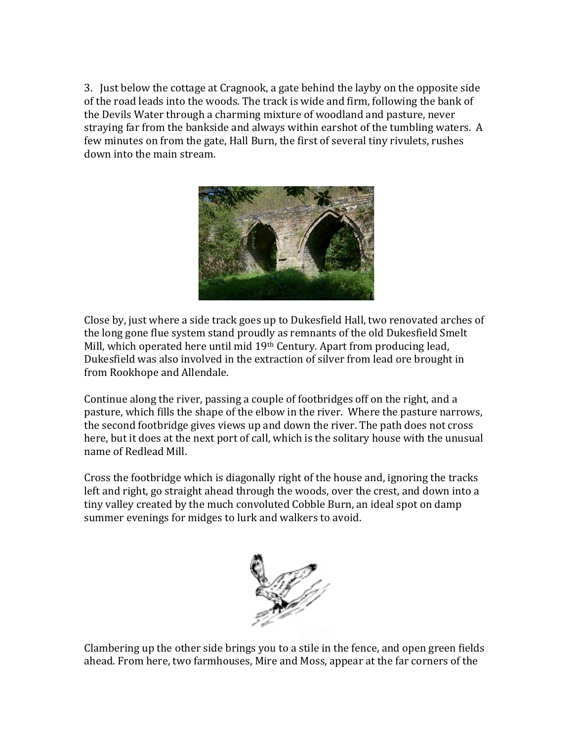3. Just below the cottage at Cragnook, a gate behind the layby on the opposite side of the road leads into the woods. The track is wide and firm, following the bank of the Devils Water through a charming mixture of woodland and pasture, never straying far from the bankside and always within earshot of the tumbling waters. A few minutes on from the gate, Hall Burn, the first of several tiny rivulets, rushes down into the main stream.



Close by, just where a side track goes up to Dukesfield Hall, two renovated arches of the long gone flue system stand proudly as remnants of the old Dukesfield Smelt Mill, which operated here until mid 19<sup>th</sup> Century. Apart from producing lead, Dukesfield was also involved in the extraction of silver from lead ore brought in from Rookhope and Allendale.

Continue along the river, passing a couple of footbridges off on the right, and a pasture, which fills the shape of the elbow in the river. Where the pasture narrows, the second footbridge gives views up and down the river. The path does not cross here, but it does at the next port of call, which is the solitary house with the unusual name of Redlead Mill.

Cross the footbridge which is diagonally right of the house and, ignoring the tracks left and right, go straight ahead through the woods, over the crest, and down into a tiny valley created by the much convoluted Cobble Burn, an ideal spot on damp summer evenings for midges to lurk and walkers to avoid.



Clambering up the other side brings you to a stile in the fence, and open green fields ahead. From here, two farmhouses, Mire and Moss, appear at the far corners of the